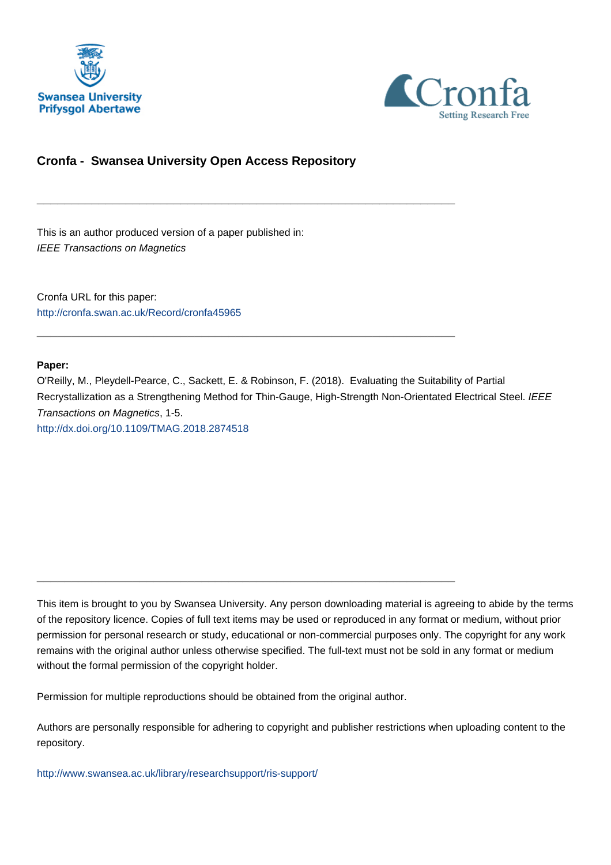



## **Cronfa - Swansea University Open Access Repository**

\_\_\_\_\_\_\_\_\_\_\_\_\_\_\_\_\_\_\_\_\_\_\_\_\_\_\_\_\_\_\_\_\_\_\_\_\_\_\_\_\_\_\_\_\_\_\_\_\_\_\_\_\_\_\_\_\_\_\_\_\_

\_\_\_\_\_\_\_\_\_\_\_\_\_\_\_\_\_\_\_\_\_\_\_\_\_\_\_\_\_\_\_\_\_\_\_\_\_\_\_\_\_\_\_\_\_\_\_\_\_\_\_\_\_\_\_\_\_\_\_\_\_

This is an author produced version of a paper published in: IEEE Transactions on Magnetics

Cronfa URL for this paper: <http://cronfa.swan.ac.uk/Record/cronfa45965>

#### **Paper:**

O'Reilly, M., Pleydell-Pearce, C., Sackett, E. & Robinson, F. (2018). Evaluating the Suitability of Partial Recrystallization as a Strengthening Method for Thin-Gauge, High-Strength Non-Orientated Electrical Steel. IEEE Transactions on Magnetics, 1-5. <http://dx.doi.org/10.1109/TMAG.2018.2874518>

This item is brought to you by Swansea University. Any person downloading material is agreeing to abide by the terms of the repository licence. Copies of full text items may be used or reproduced in any format or medium, without prior permission for personal research or study, educational or non-commercial purposes only. The copyright for any work remains with the original author unless otherwise specified. The full-text must not be sold in any format or medium without the formal permission of the copyright holder.

Permission for multiple reproductions should be obtained from the original author.

\_\_\_\_\_\_\_\_\_\_\_\_\_\_\_\_\_\_\_\_\_\_\_\_\_\_\_\_\_\_\_\_\_\_\_\_\_\_\_\_\_\_\_\_\_\_\_\_\_\_\_\_\_\_\_\_\_\_\_\_\_

Authors are personally responsible for adhering to copyright and publisher restrictions when uploading content to the repository.

[http://www.swansea.ac.uk/library/researchsupport/ris-support/](http://www.swansea.ac.uk/library/researchsupport/ris-support/ )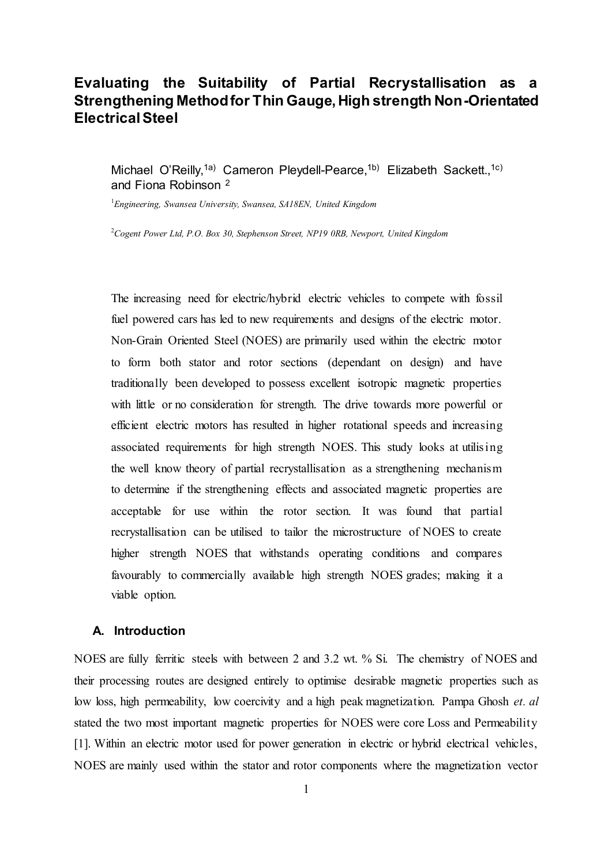# **Evaluating the Suitability of Partial Recrystallisation as a Strengthening Method for Thin Gauge, High strength Non-Orientated Electrical Steel**

Michael O'Reilly,<sup>1a)</sup> Cameron Pleydell-Pearce,<sup>1b)</sup> Elizabeth Sackett.,<sup>1c)</sup> and Fiona Robinson <sup>2</sup>

<sup>1</sup>*Engineering, Swansea University, Swansea, SA18EN, United Kingdom*

<sup>2</sup>*Cogent Power Ltd, P.O. Box 30, Stephenson Street, NP19 0RB, Newport, United Kingdom*

The increasing need for electric/hybrid electric vehicles to compete with fossil fuel powered cars has led to new requirements and designs of the electric motor. Non-Grain Oriented Steel (NOES) are primarily used within the electric motor to form both stator and rotor sections (dependant on design) and have traditionally been developed to possess excellent isotropic magnetic properties with little or no consideration for strength. The drive towards more powerful or efficient electric motors has resulted in higher rotational speeds and increasing associated requirements for high strength NOES. This study looks at utilising the well know theory of partial recrystallisation as a strengthening mechanism to determine if the strengthening effects and associated magnetic properties are acceptable for use within the rotor section. It was found that partial recrystallisation can be utilised to tailor the microstructure of NOES to create higher strength NOES that withstands operating conditions and compares favourably to commercially available high strength NOES grades; making it a viable option.

#### **A. Introduction**

NOES are fully ferritic steels with between 2 and 3.2 wt. % Si. The chemistry of NOES and their processing routes are designed entirely to optimise desirable magnetic properties such as low loss, high permeability, low coercivity and a high peak magnetization. Pampa Ghosh *et. al* stated the two most important magnetic properties for NOES were core Loss and Permeability [1]. Within an electric motor used for power generation in electric or hybrid electrical vehicles, NOES are mainly used within the stator and rotor components where the magnetization vector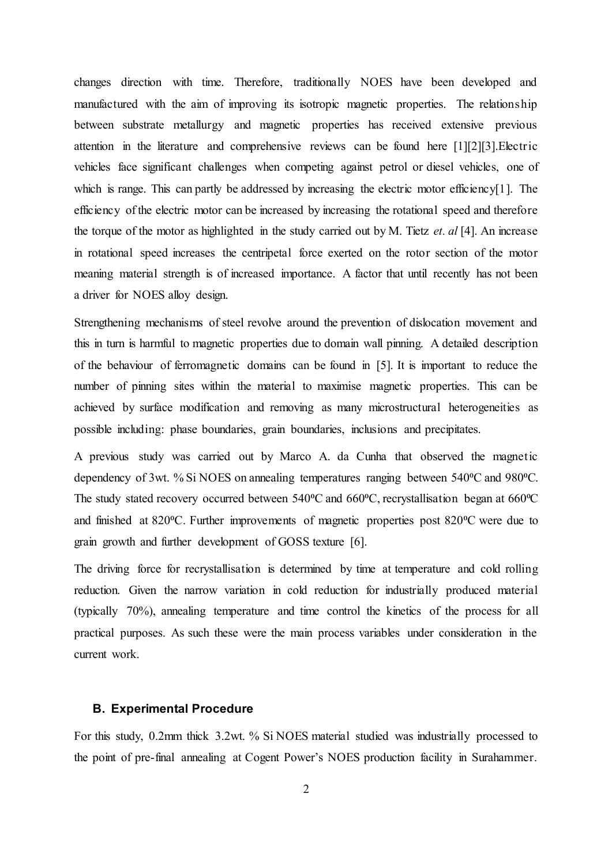changes direction with time. Therefore, traditionally NOES have been developed and manufactured with the aim of improving its isotropic magnetic properties. The relationship between substrate metallurgy and magnetic properties has received extensive previous attention in the literature and comprehensive reviews can be found here [1][2][3].Electric vehicles face significant challenges when competing against petrol or diesel vehicles, one of which is range. This can partly be addressed by increasing the electric motor efficiency[1]. The efficiency of the electric motor can be increased by increasing the rotational speed and therefore the torque of the motor as highlighted in the study carried out by M. Tietz *et. al* [4]. An increase in rotational speed increases the centripetal force exerted on the rotor section of the motor meaning material strength is of increased importance. A factor that until recently has not been a driver for NOES alloy design.

Strengthening mechanisms of steel revolve around the prevention of dislocation movement and this in turn is harmful to magnetic properties due to domain wall pinning. A detailed description of the behaviour of ferromagnetic domains can be found in [5]. It is important to reduce the number of pinning sites within the material to maximise magnetic properties. This can be achieved by surface modification and removing as many microstructural heterogeneities as possible including: phase boundaries, grain boundaries, inclusions and precipitates.

A previous study was carried out by Marco A. da Cunha that observed the magnetic dependency of 3wt. % Si NOES on annealing temperatures ranging between 540 °C and 980 °C. The study stated recovery occurred between 540<sup>o</sup>C and 660<sup>o</sup>C, recrystallisation began at 660<sup>o</sup>C and finished at 820°C. Further improvements of magnetic properties post 820°C were due to grain growth and further development of GOSS texture [6].

The driving force for recrystallisation is determined by time at temperature and cold rolling reduction. Given the narrow variation in cold reduction for industrially produced material (typically 70%), annealing temperature and time control the kinetics of the process for all practical purposes. As such these were the main process variables under consideration in the current work.

#### **B. Experimental Procedure**

For this study, 0.2mm thick 3.2wt. % Si NOES material studied was industrially processed to the point of pre-final annealing at Cogent Power's NOES production facility in Surahammer.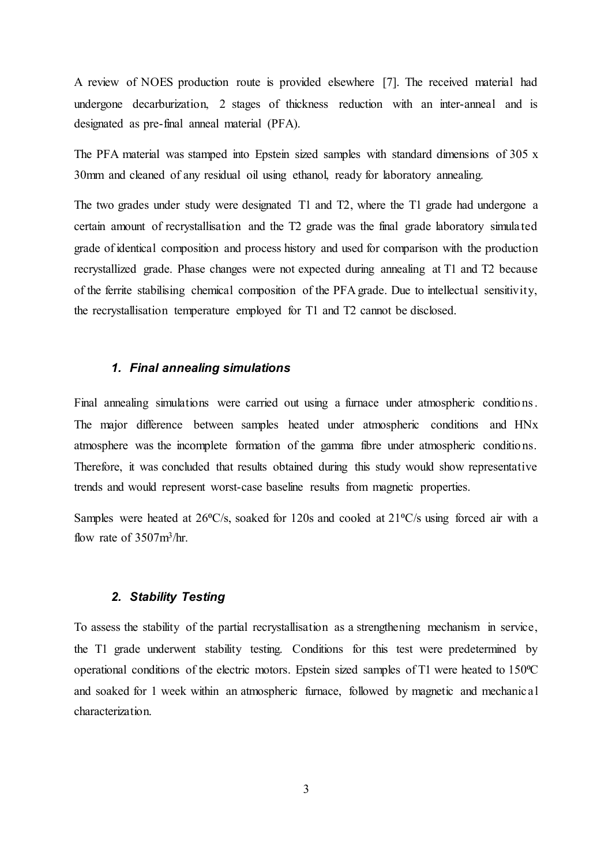A review of NOES production route is provided elsewhere [7]. The received material had undergone decarburization, 2 stages of thickness reduction with an inter-anneal and is designated as pre-final anneal material (PFA).

The PFA material was stamped into Epstein sized samples with standard dimensions of 305 x 30mm and cleaned of any residual oil using ethanol, ready for laboratory annealing.

The two grades under study were designated T1 and T2, where the T1 grade had undergone a certain amount of recrystallisation and the T2 grade was the final grade laboratory simulated grade of identical composition and process history and used for comparison with the production recrystallized grade. Phase changes were not expected during annealing at T1 and T2 because of the ferrite stabilising chemical composition of the PFA grade. Due to intellectual sensitivity, the recrystallisation temperature employed for T1 and T2 cannot be disclosed.

## *1. Final annealing simulations*

Final annealing simulations were carried out using a furnace under atmospheric conditions. The major difference between samples heated under atmospheric conditions and HNx atmosphere was the incomplete formation of the gamma fibre under atmospheric conditions. Therefore, it was concluded that results obtained during this study would show representative trends and would represent worst-case baseline results from magnetic properties.

Samples were heated at  $26\textdegree C/s$ , soaked for 120s and cooled at  $21\textdegree C/s$  using forced air with a flow rate of 3507m<sup>3</sup>/hr.

#### *2. Stability Testing*

To assess the stability of the partial recrystallisation as a strengthening mechanism in service, the T1 grade underwent stability testing. Conditions for this test were predetermined by operational conditions of the electric motors. Epstein sized samples of T1 were heated to 150°C and soaked for 1 week within an atmospheric furnace, followed by magnetic and mechanical characterization.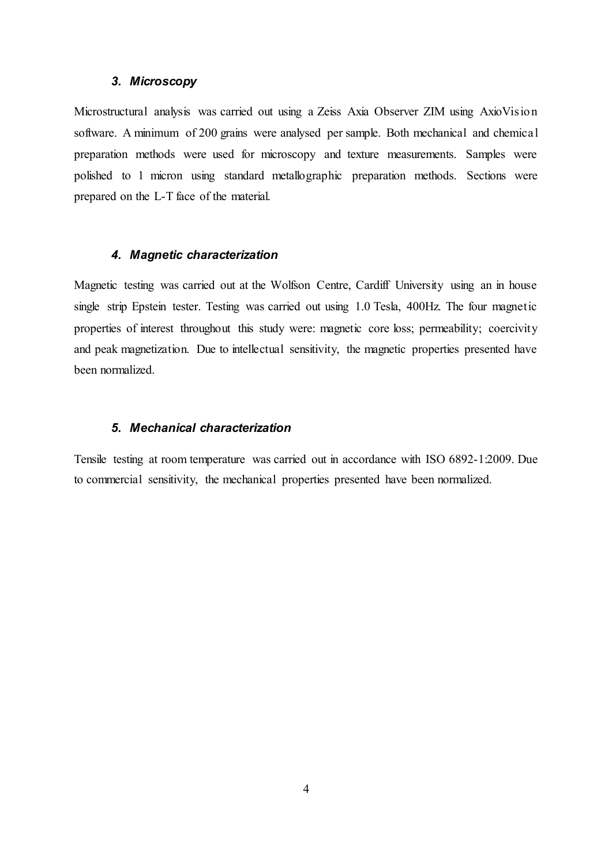#### *3. Microscopy*

Microstructural analysis was carried out using a Zeiss Axia Observer ZIM using AxioVision software. A minimum of 200 grains were analysed per sample. Both mechanical and chemical preparation methods were used for microscopy and texture measurements. Samples were polished to 1 micron using standard metallographic preparation methods. Sections were prepared on the L-T face of the material.

### *4. Magnetic characterization*

Magnetic testing was carried out at the Wolfson Centre, Cardiff University using an in house single strip Epstein tester. Testing was carried out using 1.0 Tesla, 400Hz. The four magnetic properties of interest throughout this study were: magnetic core loss; permeability; coercivity and peak magnetization. Due to intellectual sensitivity, the magnetic properties presented have been normalized.

## *5. Mechanical characterization*

Tensile testing at room temperature was carried out in accordance with ISO 6892-1:2009. Due to commercial sensitivity, the mechanical properties presented have been normalized.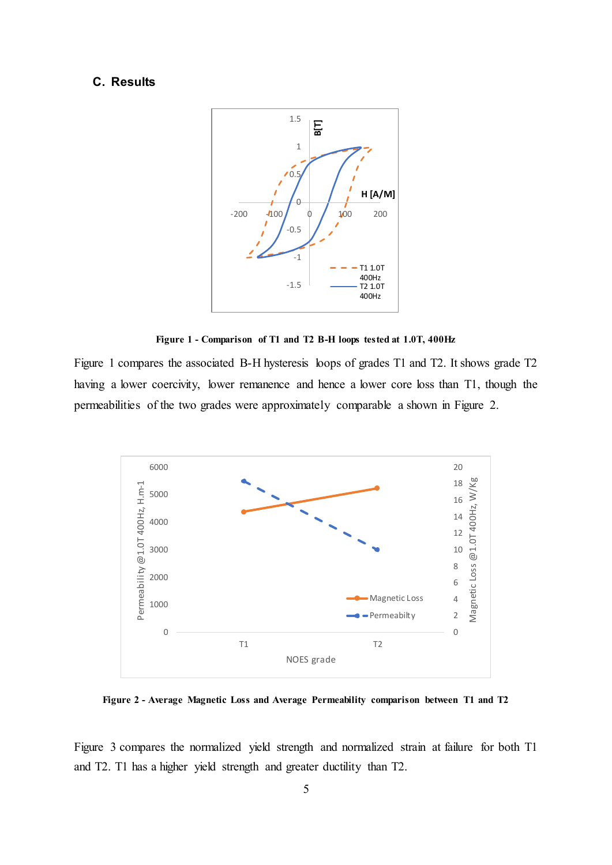## **C. Results**





Figure 1 compares the associated B-H hysteresis loops of grades T1 and T2. It shows grade T2 having a lower coercivity, lower remanence and hence a lower core loss than T1, though the permeabilities of the two grades were approximately comparable a shown in Figure 2.



**Figure 2 - Average Magnetic Loss and Average Permeability comparison between T1 and T2**

Figure 3 compares the normalized yield strength and normalized strain at failure for both T1 and T2. T1 has a higher yield strength and greater ductility than T2.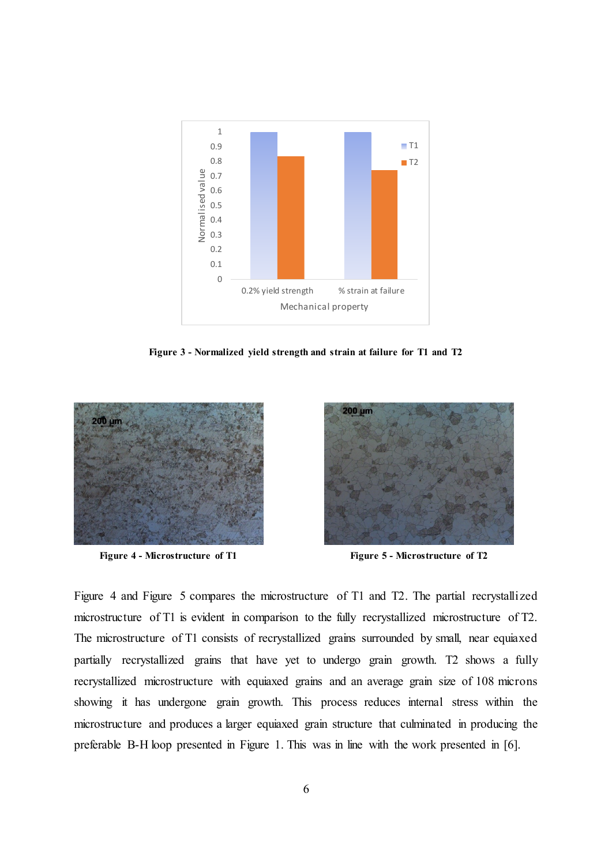

**Figure 3 - Normalized yield strength and strain at failure for T1 and T2**



**Figure 4 - Microstructure of T1 Figure 5 - Microstructure of T2**



Figure 4 and Figure 5 compares the microstructure of T1 and T2. The partial recrystallized microstructure of T1 is evident in comparison to the fully recrystallized microstructure of T2. The microstructure of T1 consists of recrystallized grains surrounded by small, near equiaxed partially recrystallized grains that have yet to undergo grain growth. T2 shows a fully recrystallized microstructure with equiaxed grains and an average grain size of 108 microns showing it has undergone grain growth. This process reduces internal stress within the microstructure and produces a larger equiaxed grain structure that culminated in producing the preferable B-H loop presented in Figure 1. This was in line with the work presented in [6].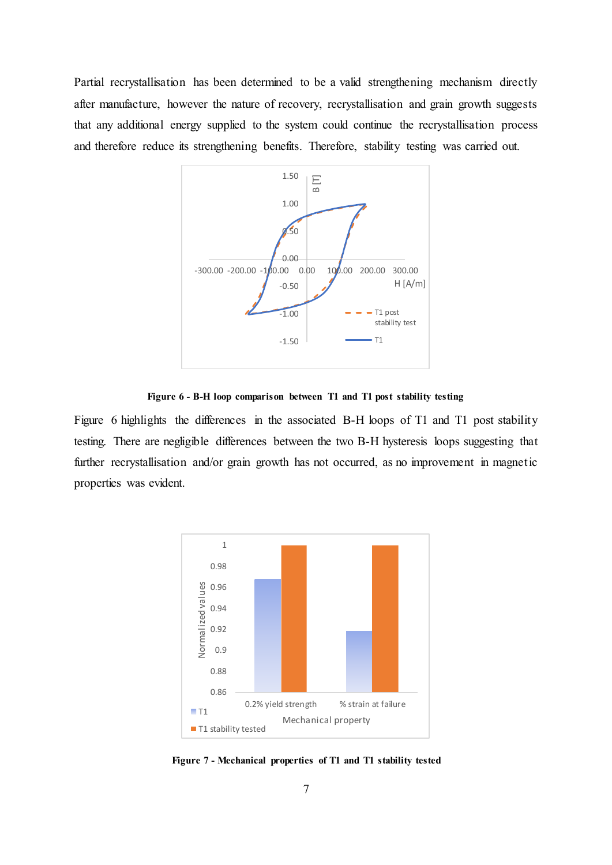Partial recrystallisation has been determined to be a valid strengthening mechanism directly after manufacture, however the nature of recovery, recrystallisation and grain growth suggests that any additional energy supplied to the system could continue the recrystallisation process and therefore reduce its strengthening benefits. Therefore, stability testing was carried out.



**Figure 6 - B-H loop comparison between T1 and T1 post stability testing**

Figure 6 highlights the differences in the associated B-H loops of T1 and T1 post stability testing. There are negligible differences between the two B-H hysteresis loops suggesting that further recrystallisation and/or grain growth has not occurred, as no improvement in magnetic properties was evident.



**Figure 7 - Mechanical properties of T1 and T1 stability tested**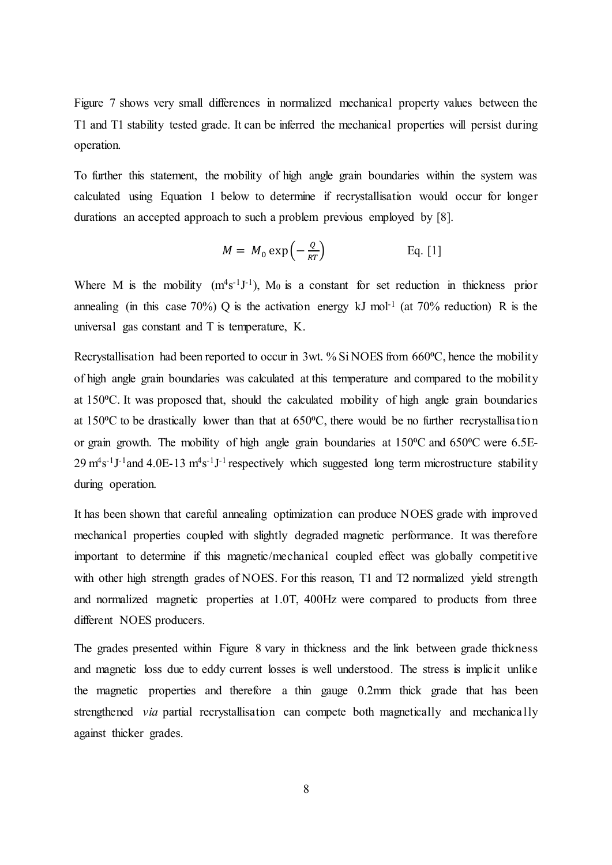Figure 7 shows very small differences in normalized mechanical property values between the T1 and T1 stability tested grade. It can be inferred the mechanical properties will persist during operation.

To further this statement, the mobility of high angle grain boundaries within the system was calculated using Equation 1 below to determine if recrystallisation would occur for longer durations an accepted approach to such a problem previous employed by [8].

$$
M = M_0 \exp\left(-\frac{Q}{RT}\right) \qquad \text{Eq. [1]}
$$

Where M is the mobility  $(m^4s^{-1}J^{-1})$ , M<sub>0</sub> is a constant for set reduction in thickness prior annealing (in this case 70%) Q is the activation energy kJ mol<sup>-1</sup> (at 70% reduction) R is the universal gas constant and T is temperature, K.

Recrystallisation had been reported to occur in 3wt. % Si NOES from  $660^{\circ}$ C, hence the mobility of high angle grain boundaries was calculated at this temperature and compared to the mobility at 150 °C. It was proposed that, should the calculated mobility of high angle grain boundaries at 150°C to be drastically lower than that at 650°C, there would be no further recrystallisation or grain growth. The mobility of high angle grain boundaries at 150°C and 650°C were 6.5E- $29 \text{ m}^4\text{s}^{-1}\text{J}^{-1}$  and 4.0E-13  $\text{m}^4\text{s}^{-1}\text{J}^{-1}$  respectively which suggested long term microstructure stability during operation.

It has been shown that careful annealing optimization can produce NOES grade with improved mechanical properties coupled with slightly degraded magnetic performance. It was therefore important to determine if this magnetic/mechanical coupled effect was globally competitive with other high strength grades of NOES. For this reason, T1 and T2 normalized yield strength and normalized magnetic properties at 1.0T, 400Hz were compared to products from three different NOES producers.

The grades presented within Figure 8 vary in thickness and the link between grade thickness and magnetic loss due to eddy current losses is well understood. The stress is implicit unlike the magnetic properties and therefore a thin gauge 0.2mm thick grade that has been strengthened *via* partial recrystallisation can compete both magnetically and mechanically against thicker grades.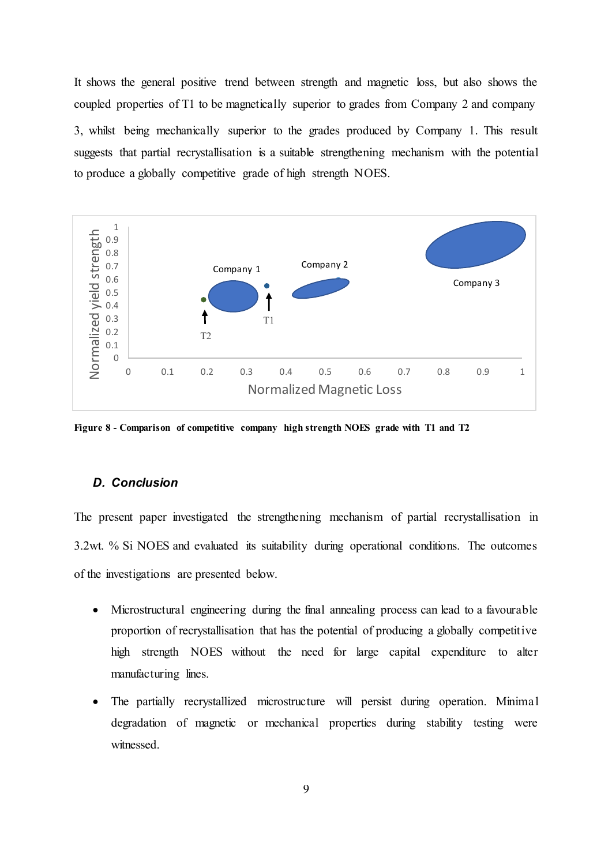It shows the general positive trend between strength and magnetic loss, but also shows the coupled properties of T1 to be magnetically superior to grades from Company 2 and company 3, whilst being mechanically superior to the grades produced by Company 1. This result suggests that partial recrystallisation is a suitable strengthening mechanism with the potential to produce a globally competitive grade of high strength NOES.



**Figure 8 - Comparison of competitive company high strength NOES grade with T1 and T2**

## *D. Conclusion*

The present paper investigated the strengthening mechanism of partial recrystallisation in 3.2wt. % Si NOES and evaluated its suitability during operational conditions. The outcomes of the investigations are presented below.

- Microstructural engineering during the final annealing process can lead to a favourable proportion of recrystallisation that has the potential of producing a globally competitive high strength NOES without the need for large capital expenditure to alter manufacturing lines.
- The partially recrystallized microstructure will persist during operation. Minimal degradation of magnetic or mechanical properties during stability testing were witnessed.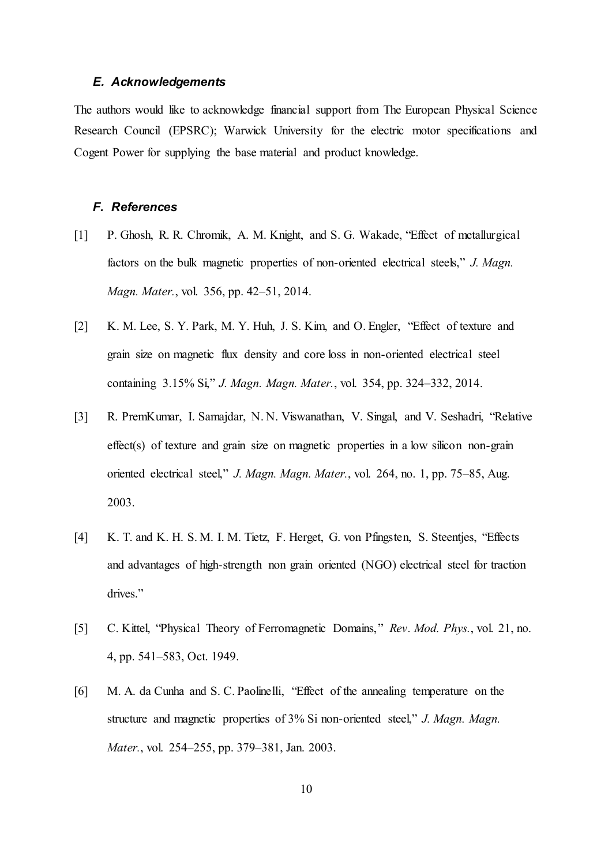#### *E. Acknowledgements*

The authors would like to acknowledge financial support from The European Physical Science Research Council (EPSRC); Warwick University for the electric motor specifications and Cogent Power for supplying the base material and product knowledge.

#### *F. References*

- [1] P. Ghosh, R. R. Chromik, A. M. Knight, and S. G. Wakade, "Effect of metallurgical factors on the bulk magnetic properties of non-oriented electrical steels," *J. Magn. Magn. Mater.*, vol. 356, pp. 42–51, 2014.
- [2] K. M. Lee, S. Y. Park, M. Y. Huh, J. S. Kim, and O. Engler, "Effect of texture and grain size on magnetic flux density and core loss in non-oriented electrical steel containing 3.15% Si," *J. Magn. Magn. Mater.*, vol. 354, pp. 324–332, 2014.
- [3] R. PremKumar, I. Samajdar, N. N. Viswanathan, V. Singal, and V. Seshadri, "Relative effect(s) of texture and grain size on magnetic properties in a low silicon non-grain oriented electrical steel," *J. Magn. Magn. Mater.*, vol. 264, no. 1, pp. 75–85, Aug. 2003.
- [4] K. T. and K. H. S. M. I. M. Tietz, F. Herget, G. von Pfingsten, S. Steentjes, "Effects and advantages of high-strength non grain oriented (NGO) electrical steel for traction drives."
- [5] C. Kittel, "Physical Theory of Ferromagnetic Domains," *Rev. Mod. Phys.*, vol. 21, no. 4, pp. 541–583, Oct. 1949.
- [6] M. A. da Cunha and S. C. Paolinelli, "Effect of the annealing temperature on the structure and magnetic properties of 3% Si non-oriented steel," *J. Magn. Magn. Mater.*, vol. 254–255, pp. 379–381, Jan. 2003.